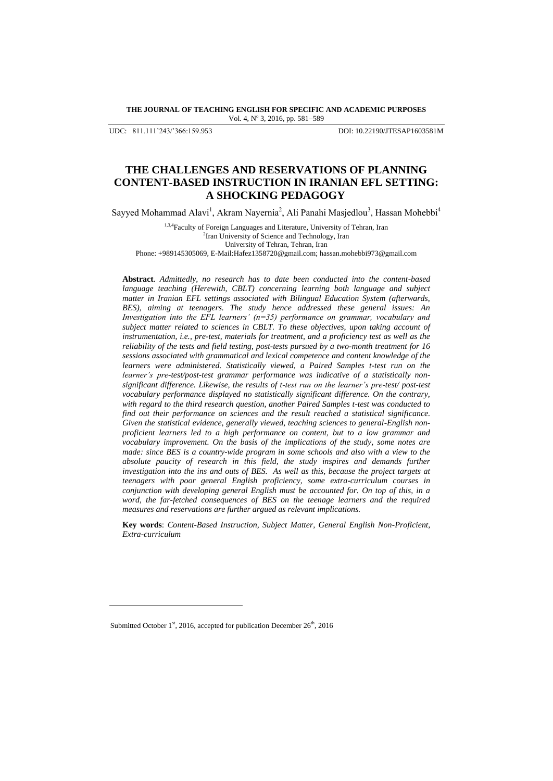**THE JOURNAL OF TEACHING ENGLISH FOR SPECIFIC AND ACADEMIC PURPOSES** Vol. 4, Nº 3, 2016, pp. 581-589

UDC: 811.111"243/"366:159.953 DOI: 10.22190/JTESAP1603581M

# **THE CHALLENGES AND RESERVATIONS OF PLANNING CONTENT-BASED INSTRUCTION IN IRANIAN EFL SETTING: A SHOCKING PEDAGOGY**

Sayyed Mohammad Alavi<sup>1</sup>, Akram Nayernia<sup>2</sup>, Ali Panahi Masjedlou<sup>3</sup>, Hassan Mohebbi<sup>4</sup>

1,3,4Faculty of Foreign Languages and Literature, University of Tehran, Iran <sup>2</sup> Iran University of Science and Technology, Iran University of Tehran, Tehran, Iran

Phone: +989145305069, E-Mail:Hafez1358720@gmail.com; hassan.mohebbi973@gmail.com

**Abstract**. *Admittedly, no research has to date been conducted into the content-based language teaching (Herewith, CBLT) concerning learning both language and subject matter in Iranian EFL settings associated with Bilingual Education System (afterwards, BES), aiming at teenagers. The study hence addressed these general issues: An Investigation into the EFL learners' (n=35) performance on grammar, vocabulary and subject matter related to sciences in CBLT. To these objectives, upon taking account of instrumentation, i.e., pre-test, materials for treatment, and a proficiency test as well as the reliability of the tests and field testing, post-tests pursued by a two-month treatment for 16 sessions associated with grammatical and lexical competence and content knowledge of the learners were administered. Statistically viewed, a Paired Samples t-test run on the learner's pre-test/post-test grammar performance was indicative of a statistically nonsignificant difference. Likewise, the results of t-test run on the learner's pre-test/ post-test vocabulary performance displayed no statistically significant difference. On the contrary, with regard to the third research question, another Paired Samples t-test was conducted to find out their performance on sciences and the result reached a statistical significance. Given the statistical evidence, generally viewed, teaching sciences to general-English nonproficient learners led to a high performance on content, but to a low grammar and vocabulary improvement. On the basis of the implications of the study, some notes are made: since BES is a country-wide program in some schools and also with a view to the absolute paucity of research in this field, the study inspires and demands further investigation into the ins and outs of BES. As well as this, because the project targets at teenagers with poor general English proficiency, some extra-curriculum courses in conjunction with developing general English must be accounted for. On top of this, in a word, the far-fetched consequences of BES on the teenage learners and the required measures and reservations are further argued as relevant implications.* 

**Key words**: *Content-Based Instruction, Subject Matter, General English Non-Proficient, Extra-curriculum* 

l

Submitted October 1<sup>st</sup>, 2016, accepted for publication December 26<sup>th</sup>, 2016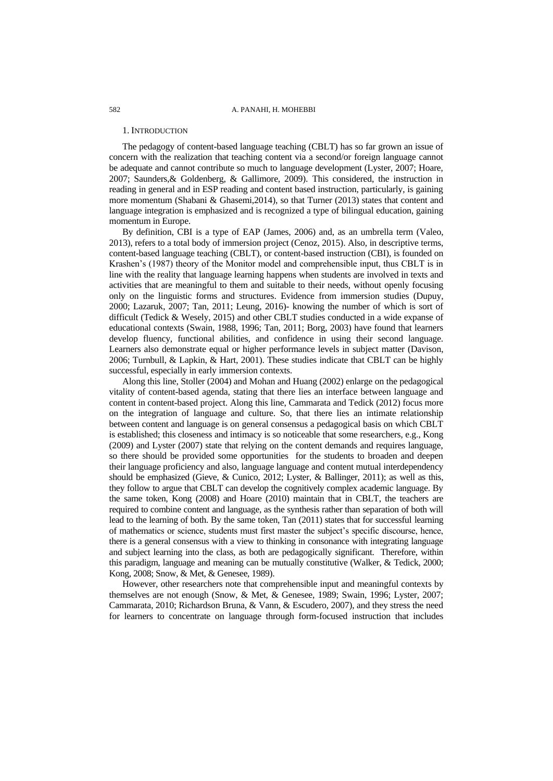#### 1. INTRODUCTION

The pedagogy of content-based language teaching (CBLT) has so far grown an issue of concern with the realization that teaching content via a second/or foreign language cannot be adequate and cannot contribute so much to language development (Lyster, 2007; Hoare, 2007; Saunders,& Goldenberg, & Gallimore, 2009). This considered, the instruction in reading in general and in ESP reading and content based instruction, particularly, is gaining more momentum (Shabani & Ghasemi,2014), so that Turner (2013) states that content and language integration is emphasized and is recognized a type of bilingual education, gaining momentum in Europe.

By definition, CBI is a type of EAP (James, 2006) and, as an umbrella term (Valeo, 2013), refers to a total body of immersion project (Cenoz, 2015). Also, in descriptive terms, content-based language teaching (CBLT), or content-based instruction (CBI), is founded on Krashen"s (1987) theory of the Monitor model and comprehensible input, thus CBLT is in line with the reality that language learning happens when students are involved in texts and activities that are meaningful to them and suitable to their needs, without openly focusing only on the linguistic forms and structures. Evidence from immersion studies (Dupuy, 2000; Lazaruk, 2007; Tan, 2011; Leung, 2016)- knowing the number of which is sort of difficult (Tedick & Wesely, 2015) and other CBLT studies conducted in a wide expanse of educational contexts (Swain, 1988, 1996; Tan, 2011; Borg, 2003) have found that learners develop fluency, functional abilities, and confidence in using their second language. Learners also demonstrate equal or higher performance levels in subject matter (Davison, 2006; Turnbull, & Lapkin, & Hart, 2001). These studies indicate that CBLT can be highly successful, especially in early immersion contexts.

Along this line, Stoller (2004) and Mohan and Huang (2002) enlarge on the pedagogical vitality of content-based agenda, stating that there lies an interface between language and content in content-based project. Along this line, Cammarata and Tedick (2012) focus more on the integration of language and culture. So, that there lies an intimate relationship between content and language is on general consensus a pedagogical basis on which CBLT is established; this closeness and intimacy is so noticeable that some researchers, e.g., Kong (2009) and Lyster (2007) state that relying on the content demands and requires language, so there should be provided some opportunities for the students to broaden and deepen their language proficiency and also, language language and content mutual interdependency should be emphasized (Gieve, & Cunico, 2012; Lyster, & Ballinger, 2011); as well as this, they follow to argue that CBLT can develop the cognitively complex academic language. By the same token, Kong (2008) and Hoare (2010) maintain that in CBLT, the teachers are required to combine content and language, as the synthesis rather than separation of both will lead to the learning of both. By the same token, Tan (2011) states that for successful learning of mathematics or science, students must first master the subject"s specific discourse, hence, there is a general consensus with a view to thinking in consonance with integrating language and subject learning into the class, as both are pedagogically significant. Therefore, within this paradigm, language and meaning can be mutually constitutive (Walker, & Tedick, 2000; Kong, 2008; Snow, & Met, & Genesee, 1989).

However, other researchers note that comprehensible input and meaningful contexts by themselves are not enough (Snow, & Met, & Genesee, 1989; Swain, 1996; Lyster, 2007; Cammarata, 2010; Richardson Bruna, & Vann, & Escudero, 2007), and they stress the need for learners to concentrate on language through form-focused instruction that includes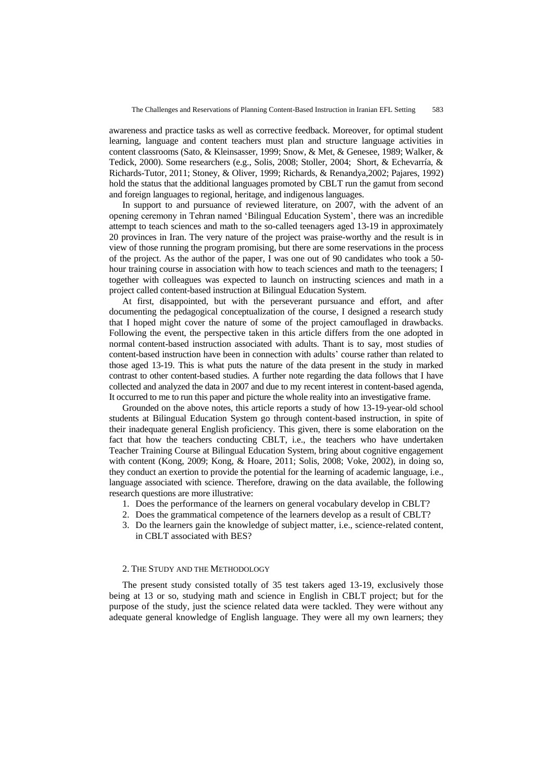awareness and practice tasks as well as corrective feedback. Moreover, for optimal student learning, language and content teachers must plan and structure language activities in content classrooms (Sato, & Kleinsasser, 1999; Snow, & Met, & Genesee, 1989; Walker, & Tedick, 2000). Some researchers (e.g., Solis, 2008; Stoller, 2004; Short, & Echevarría, & Richards-Tutor, 2011; Stoney, & Oliver, 1999; Richards, & Renandya,2002; Pajares, 1992) hold the status that the additional languages promoted by CBLT run the gamut from second and foreign languages to regional, heritage, and indigenous languages.

In support to and pursuance of reviewed literature, on 2007, with the advent of an opening ceremony in Tehran named "Bilingual Education System", there was an incredible attempt to teach sciences and math to the so-called teenagers aged 13-19 in approximately 20 provinces in Iran. The very nature of the project was praise-worthy and the result is in view of those running the program promising, but there are some reservations in the process of the project. As the author of the paper, I was one out of 90 candidates who took a 50 hour training course in association with how to teach sciences and math to the teenagers; I together with colleagues was expected to launch on instructing sciences and math in a project called content-based instruction at Bilingual Education System.

At first, disappointed, but with the perseverant pursuance and effort, and after documenting the pedagogical conceptualization of the course, I designed a research study that I hoped might cover the nature of some of the project camouflaged in drawbacks. Following the event, the perspective taken in this article differs from the one adopted in normal content-based instruction associated with adults. Thant is to say, most studies of content-based instruction have been in connection with adults" course rather than related to those aged 13-19. This is what puts the nature of the data present in the study in marked contrast to other content-based studies. A further note regarding the data follows that I have collected and analyzed the data in 2007 and due to my recent interest in content-based agenda, It occurred to me to run this paper and picture the whole reality into an investigative frame.

Grounded on the above notes, this article reports a study of how 13-19-year-old school students at Bilingual Education System go through content-based instruction, in spite of their inadequate general English proficiency. This given, there is some elaboration on the fact that how the teachers conducting CBLT, i.e., the teachers who have undertaken Teacher Training Course at Bilingual Education System, bring about cognitive engagement with content (Kong, 2009; Kong, & Hoare, 2011; Solis, 2008; Voke, 2002), in doing so, they conduct an exertion to provide the potential for the learning of academic language, i.e., language associated with science. Therefore, drawing on the data available, the following research questions are more illustrative:

- 1. Does the performance of the learners on general vocabulary develop in CBLT?
- 2. Does the grammatical competence of the learners develop as a result of CBLT?
- 3. Do the learners gain the knowledge of subject matter, i.e., science-related content, in CBLT associated with BES?

# 2. THE STUDY AND THE METHODOLOGY

The present study consisted totally of 35 test takers aged 13-19, exclusively those being at 13 or so, studying math and science in English in CBLT project; but for the purpose of the study, just the science related data were tackled. They were without any adequate general knowledge of English language. They were all my own learners; they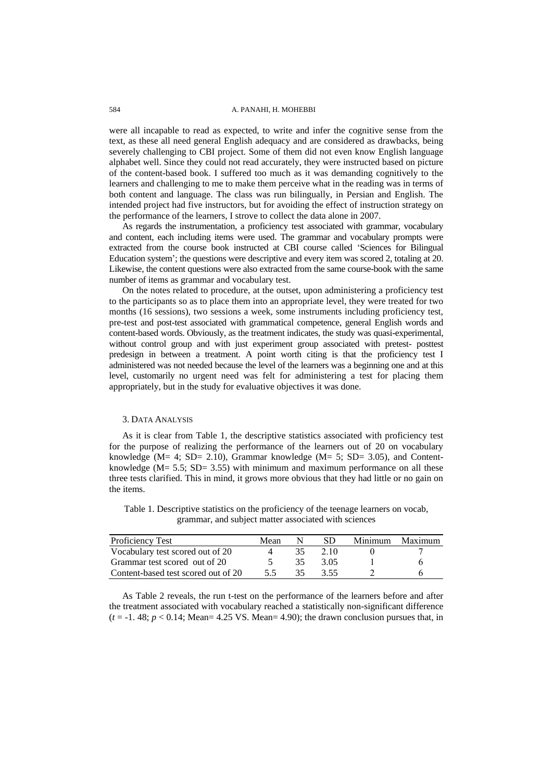### 584 A. PANAHI, H. MOHEBBI

were all incapable to read as expected, to write and infer the cognitive sense from the text, as these all need general English adequacy and are considered as drawbacks, being severely challenging to CBI project. Some of them did not even know English language alphabet well. Since they could not read accurately, they were instructed based on picture of the content-based book. I suffered too much as it was demanding cognitively to the learners and challenging to me to make them perceive what in the reading was in terms of both content and language. The class was run bilingually, in Persian and English. The intended project had five instructors, but for avoiding the effect of instruction strategy on the performance of the learners, I strove to collect the data alone in 2007.

As regards the instrumentation, a proficiency test associated with grammar, vocabulary and content, each including items were used. The grammar and vocabulary prompts were extracted from the course book instructed at CBI course called "Sciences for Bilingual Education system"; the questions were descriptive and every item was scored 2, totaling at 20. Likewise, the content questions were also extracted from the same course-book with the same number of items as grammar and vocabulary test.

On the notes related to procedure, at the outset, upon administering a proficiency test to the participants so as to place them into an appropriate level, they were treated for two months (16 sessions), two sessions a week, some instruments including proficiency test, pre-test and post-test associated with grammatical competence, general English words and content-based words. Obviously, as the treatment indicates, the study was quasi-experimental, without control group and with just experiment group associated with pretest- posttest predesign in between a treatment. A point worth citing is that the proficiency test I administered was not needed because the level of the learners was a beginning one and at this level, customarily no urgent need was felt for administering a test for placing them appropriately, but in the study for evaluative objectives it was done.

# 3. DATA ANALYSIS

As it is clear from Table 1, the descriptive statistics associated with proficiency test for the purpose of realizing the performance of the learners out of 20 on vocabulary knowledge ( $M= 4$ ; SD= 2.10), Grammar knowledge ( $M= 5$ ; SD= 3.05), and Contentknowledge ( $M = 5.5$ ;  $SD = 3.55$ ) with minimum and maximum performance on all these three tests clarified. This in mind, it grows more obvious that they had little or no gain on the items.

Table 1. Descriptive statistics on the proficiency of the teenage learners on vocab, grammar, and subject matter associated with sciences

| Proficiency Test                    | Mean |     | SD   | Minimum Maximum |
|-------------------------------------|------|-----|------|-----------------|
| Vocabulary test scored out of 20    |      | 35. | 2.10 |                 |
| Grammar test scored out of 20       |      | 35  | 3.05 |                 |
| Content-based test scored out of 20 | 55   | 35  | 3.55 |                 |

As Table 2 reveals, the run t-test on the performance of the learners before and after the treatment associated with vocabulary reached a statistically non-significant difference  $(t = -1.48; p < 0.14; \text{Mean} = 4.25 \text{ VS}$ . Mean = 4.90); the drawn conclusion pursues that, in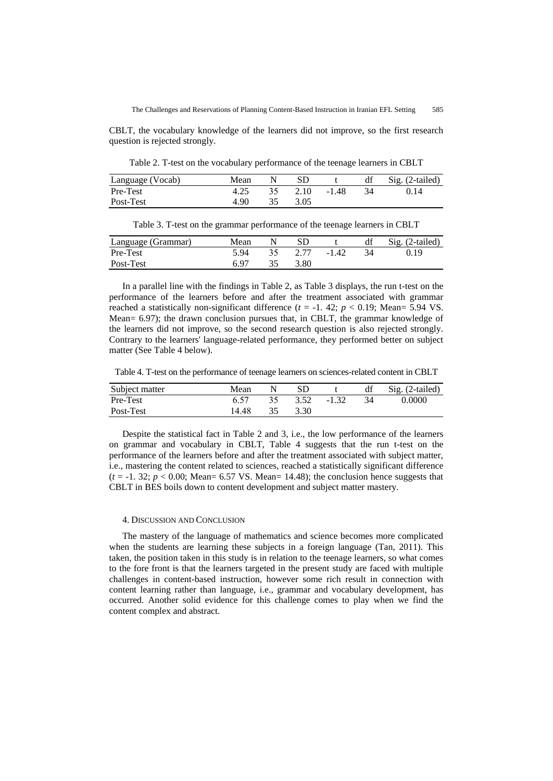CBLT, the vocabulary knowledge of the learners did not improve, so the first research question is rejected strongly.

Table 2. T-test on the vocabulary performance of the teenage learners in CBLT

| Language (Vocab) | Mean |      |         | df | Sig. (2-tailed) |
|------------------|------|------|---------|----|-----------------|
| Pre-Test         | 4.25 | 2.10 | $-1.48$ | 34 | () 14           |
| Post-Test        | 4.90 | 3.05 |         |    |                 |

Table 3. T-test on the grammar performance of the teenage learners in CBLT

| Language (Grammar) | Mean |    | SD.  |         | df  | $Sig. (2-tailed)$ |
|--------------------|------|----|------|---------|-----|-------------------|
| Pre-Test           | 5.94 | 35 | 2.77 | $-1.42$ | -34 | 0.19              |
| Post-Test          | 6 ዓ7 |    | 3.80 |         |     |                   |

In a parallel line with the findings in Table 2, as Table 3 displays, the run t-test on the performance of the learners before and after the treatment associated with grammar reached a statistically non-significant difference  $(t = -1.42; p < 0.19;$  Mean= 5.94 VS. Mean= 6.97); the drawn conclusion pursues that, in CBLT, the grammar knowledge of the learners did not improve, so the second research question is also rejected strongly. Contrary to the learners' language-related performance, they performed better on subject matter (See Table 4 below).

Table 4. T-test on the performance of teenage learners on sciences-related content in CBLT

| Subject matter | Mean  | SD      |         | df  | Sig. (2-tailed) |
|----------------|-------|---------|---------|-----|-----------------|
| Pre-Test       | 6.57  | 35 3.52 | $-1.32$ | -34 | 0.0000          |
| Post-Test      | 14.48 | 3.30    |         |     |                 |

Despite the statistical fact in Table 2 and 3, i.e., the low performance of the learners on grammar and vocabulary in CBLT, Table 4 suggests that the run t-test on the performance of the learners before and after the treatment associated with subject matter, i.e., mastering the content related to sciences, reached a statistically significant difference  $(t = -1.32; p < 0.00; \text{Mean} = 6.57 \text{ VS}$ . Mean= 14.48); the conclusion hence suggests that CBLT in BES boils down to content development and subject matter mastery.

#### 4. DISCUSSION AND CONCLUSION

The mastery of the language of mathematics and science becomes more complicated when the students are learning these subjects in a foreign language (Tan, 2011). This taken, the position taken in this study is in relation to the teenage learners, so what comes to the fore front is that the learners targeted in the present study are faced with multiple challenges in content-based instruction, however some rich result in connection with content learning rather than language, i.e., grammar and vocabulary development, has occurred. Another solid evidence for this challenge comes to play when we find the content complex and abstract.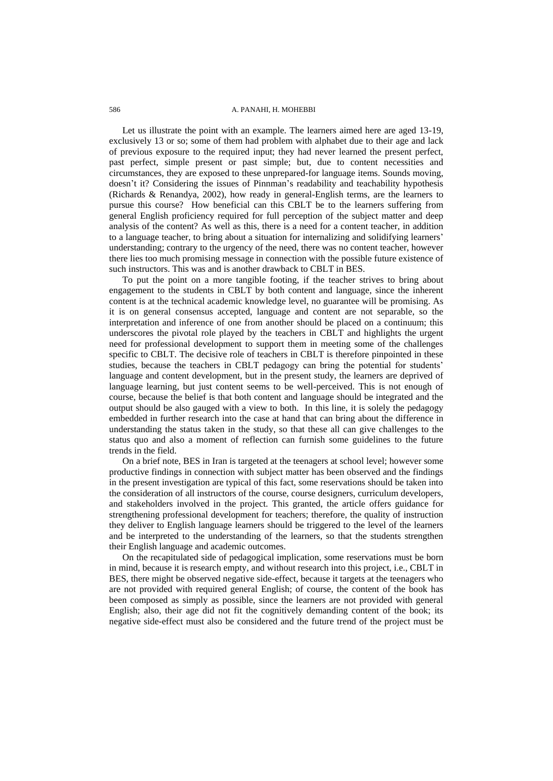# 586 **A. PANAHI, H. MOHEBBI**

Let us illustrate the point with an example. The learners aimed here are aged 13-19, exclusively 13 or so; some of them had problem with alphabet due to their age and lack of previous exposure to the required input; they had never learned the present perfect, past perfect, simple present or past simple; but, due to content necessities and circumstances, they are exposed to these unprepared-for language items. Sounds moving, doesn't it? Considering the issues of Pinnman's readability and teachability hypothesis (Richards & Renandya, 2002), how ready in general-English terms, are the learners to pursue this course? How beneficial can this CBLT be to the learners suffering from general English proficiency required for full perception of the subject matter and deep analysis of the content? As well as this, there is a need for a content teacher, in addition to a language teacher, to bring about a situation for internalizing and solidifying learners" understanding; contrary to the urgency of the need, there was no content teacher, however there lies too much promising message in connection with the possible future existence of such instructors. This was and is another drawback to CBLT in BES.

To put the point on a more tangible footing, if the teacher strives to bring about engagement to the students in CBLT by both content and language, since the inherent content is at the technical academic knowledge level, no guarantee will be promising. As it is on general consensus accepted, language and content are not separable, so the interpretation and inference of one from another should be placed on a continuum; this underscores the pivotal role played by the teachers in CBLT and highlights the urgent need for professional development to support them in meeting some of the challenges specific to CBLT. The decisive role of teachers in CBLT is therefore pinpointed in these studies, because the teachers in CBLT pedagogy can bring the potential for students" language and content development, but in the present study, the learners are deprived of language learning, but just content seems to be well-perceived. This is not enough of course, because the belief is that both content and language should be integrated and the output should be also gauged with a view to both. In this line, it is solely the pedagogy embedded in further research into the case at hand that can bring about the difference in understanding the status taken in the study, so that these all can give challenges to the status quo and also a moment of reflection can furnish some guidelines to the future trends in the field.

On a brief note, BES in Iran is targeted at the teenagers at school level; however some productive findings in connection with subject matter has been observed and the findings in the present investigation are typical of this fact, some reservations should be taken into the consideration of all instructors of the course, course designers, curriculum developers, and stakeholders involved in the project. This granted, the article offers guidance for strengthening professional development for teachers; therefore, the quality of instruction they deliver to English language learners should be triggered to the level of the learners and be interpreted to the understanding of the learners, so that the students strengthen their English language and academic outcomes.

On the recapitulated side of pedagogical implication, some reservations must be born in mind, because it is research empty, and without research into this project, i.e., CBLT in BES, there might be observed negative side-effect, because it targets at the teenagers who are not provided with required general English; of course, the content of the book has been composed as simply as possible, since the learners are not provided with general English; also, their age did not fit the cognitively demanding content of the book; its negative side-effect must also be considered and the future trend of the project must be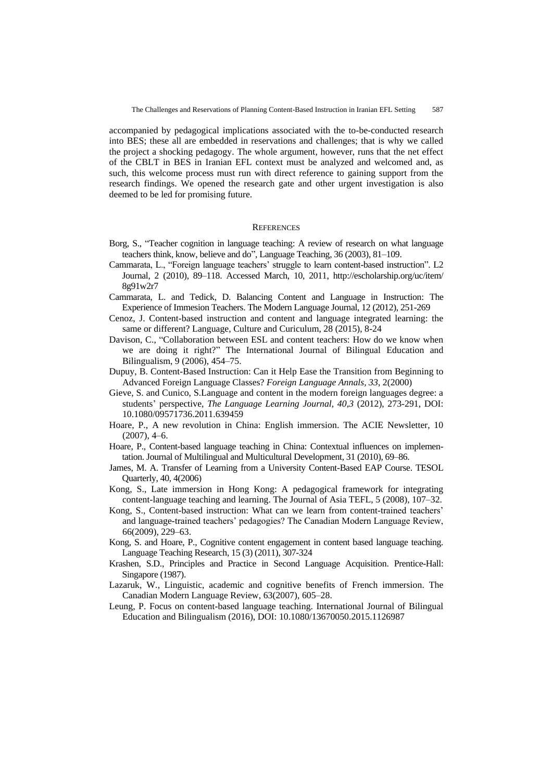accompanied by pedagogical implications associated with the to-be-conducted research into BES; these all are embedded in reservations and challenges; that is why we called the project a shocking pedagogy. The whole argument, however, runs that the net effect of the CBLT in BES in Iranian EFL context must be analyzed and welcomed and, as such, this welcome process must run with direct reference to gaining support from the research findings. We opened the research gate and other urgent investigation is also deemed to be led for promising future.

### **REFERENCES**

- Borg, S., "Teacher cognition in language teaching: A review of research on what language teachers think, know, believe and do", Language Teaching, 36 (2003), 81–109.
- Cammarata, L., "Foreign language teachers" struggle to learn content-based instruction". L2 Journal, 2 (2010), 89–118. Accessed March, 10, 2011, http://escholarship.org/uc/item/ 8g91w2r7
- Cammarata, L. and Tedick, D. Balancing Content and Language in Instruction: The Experience of Immesion Teachers. The Modern Language Journal, 12 (2012), 251-269
- Cenoz, J. Content-based instruction and content and language integrated learning: the same or different? Language, Culture and Curiculum, 28 (2015), 8-24
- Davison, C., "Collaboration between ESL and content teachers: How do we know when we are doing it right?" The International Journal of Bilingual Education and Bilingualism, 9 (2006), 454–75.
- Dupuy, B. Content-Based Instruction: Can it Help Ease the Transition from Beginning to Advanced Foreign Language Classes? *Foreign Language Annals, 33*, 2(2000)
- Gieve, S. and Cunico, S.Language and content in the modern foreign languages degree: a students" perspective, *The Language Learning Journal, 40,3* (2012), 273-291, DOI: 10.1080/09571736.2011.639459
- Hoare, P., A new revolution in China: English immersion. The ACIE Newsletter, 10  $(2007), 4–6.$
- Hoare, P., Content-based language teaching in China: Contextual influences on implementation. Journal of Multilingual and Multicultural Development, 31 (2010), 69–86.
- James, M. A. Transfer of Learning from a University Content-Based EAP Course. TESOL Quarterly, 40, 4(2006)
- Kong, S., Late immersion in Hong Kong: A pedagogical framework for integrating content-language teaching and learning. The Journal of Asia TEFL, 5 (2008), 107–32.
- Kong, S., Content-based instruction: What can we learn from content-trained teachers" and language-trained teachers' pedagogies? The Canadian Modern Language Review, 66(2009), 229–63.
- Kong, S. and Hoare, P., Cognitive content engagement in content based language teaching. Language Teaching Research, 15 (3) (2011), 307-324
- Krashen, S.D., Principles and Practice in Second Language Acquisition. Prentice-Hall: Singapore (1987).
- Lazaruk, W., Linguistic, academic and cognitive benefits of French immersion. The Canadian Modern Language Review, 63(2007), 605–28.
- Leung, P. Focus on content-based language teaching. International Journal of Bilingual Education and Bilingualism (2016), DOI: 10.1080/13670050.2015.1126987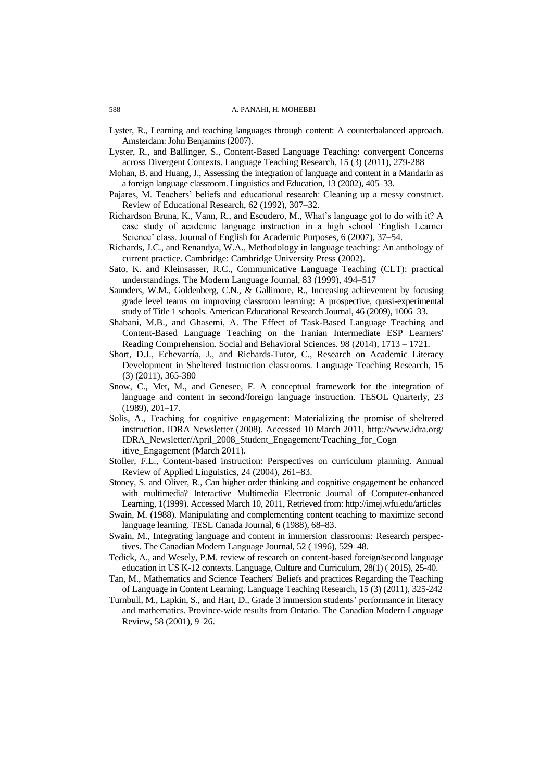- Lyster, R., Learning and teaching languages through content: A counterbalanced approach. Amsterdam: John Benjamins (2007).
- Lyster, R., and Ballinger, S., Content-Based Language Teaching: convergent Concerns across Divergent Contexts. Language Teaching Research, 15 (3) (2011), 279-288
- Mohan, B. and Huang, J., Assessing the integration of language and content in a Mandarin as a foreign language classroom. Linguistics and Education, 13 (2002), 405–33.
- Pajares, M. Teachers" beliefs and educational research: Cleaning up a messy construct. Review of Educational Research, 62 (1992), 307–32.
- Richardson Bruna, K., Vann, R., and Escudero, M., What"s language got to do with it? A case study of academic language instruction in a high school "English Learner Science' class. Journal of English for Academic Purposes, 6 (2007), 37–54.
- Richards, J.C., and Renandya, W.A., Methodology in language teaching: An anthology of current practice. Cambridge: Cambridge University Press (2002).
- Sato, K. and Kleinsasser, R.C., Communicative Language Teaching (CLT): practical understandings. The Modern Language Journal, 83 (1999), 494–517
- Saunders, W.M., Goldenberg, C.N., & Gallimore, R., Increasing achievement by focusing grade level teams on improving classroom learning: A prospective, quasi-experimental study of Title 1 schools. American Educational Research Journal, 46 (2009), 1006–33.
- Shabani, M.B., and Ghasemi, A. The Effect of Task-Based Language Teaching and Content-Based Language Teaching on the Iranian Intermediate ESP Learners' Reading Comprehension. Social and Behavioral Sciences. 98 (2014), 1713 – 1721.
- Short, D.J., Echevarría, J., and Richards-Tutor, C., Research on Academic Literacy Development in Sheltered Instruction classrooms. Language Teaching Research, 15 (3) (2011), 365-380
- Snow, C., Met, M., and Genesee, F. A conceptual framework for the integration of language and content in second/foreign language instruction. TESOL Quarterly, 23 (1989), 201–17.
- Solis, A., Teaching for cognitive engagement: Materializing the promise of sheltered instruction. IDRA Newsletter (2008). Accessed 10 March 2011, http://www.idra.org/ IDRA\_Newsletter/April\_2008\_Student\_Engagement/Teaching\_for\_Cogn itive\_Engagement (March 2011).
- Stoller, F.L., Content-based instruction: Perspectives on curriculum planning. Annual Review of Applied Linguistics, 24 (2004), 261–83.
- Stoney, S. and Oliver, R., Can higher order thinking and cognitive engagement be enhanced with multimedia? Interactive Multimedia Electronic Journal of Computer-enhanced Learning, 1(1999). Accessed March 10, 2011, Retrieved from: http://imej.wfu.edu/articles
- Swain, M. (1988). Manipulating and complementing content teaching to maximize second language learning. TESL Canada Journal, 6 (1988), 68–83.
- Swain, M., Integrating language and content in immersion classrooms: Research perspectives. The Canadian Modern Language Journal, 52 ( 1996), 529–48.
- Tedick, A., and Wesely, P.M. review of research on content-based foreign/second language education in US K-12 contexts. Language, Culture and Curriculum, 28(1) ( 2015), 25-40.
- Tan, M., Mathematics and Science Teachers' Beliefs and practices Regarding the Teaching of Language in Content Learning. Language Teaching Research, 15 (3) (2011), 325-242
- Turnbull, M., Lapkin, S., and Hart, D., Grade 3 immersion students" performance in literacy and mathematics. Province-wide results from Ontario. The Canadian Modern Language Review, 58 (2001), 9–26.